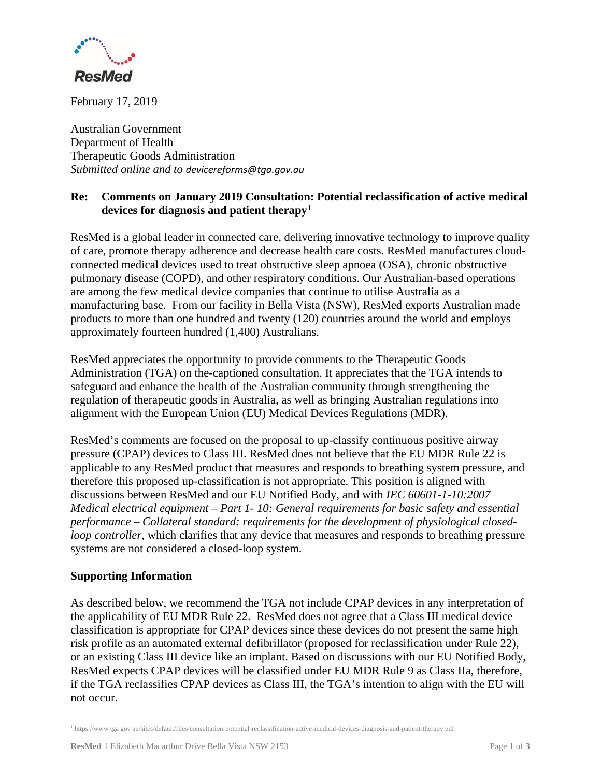

February 17, 2019

Australian Government Department of Health Therapeutic Goods Administration *Submitted online and to devicereforms@tga.gov.au*

## **Re: Comments on January 2019 Consultation: Potential reclassification of active medical devices for diagnosis and patient therapy1**

ResMed is a global leader in connected care, delivering innovative technology to improve quality of care, promote therapy adherence and decrease health care costs. ResMed manufactures cloudconnected medical devices used to treat obstructive sleep apnoea (OSA), chronic obstructive pulmonary disease (COPD), and other respiratory conditions. Our Australian-based operations are among the few medical device companies that continue to utilise Australia as a manufacturing base. From our facility in Bella Vista (NSW), ResMed exports Australian made products to more than one hundred and twenty (120) countries around the world and employs approximately fourteen hundred (1,400) Australians.

ResMed appreciates the opportunity to provide comments to the Therapeutic Goods Administration (TGA) on the-captioned consultation. It appreciates that the TGA intends to safeguard and enhance the health of the Australian community through strengthening the regulation of therapeutic goods in Australia, as well as bringing Australian regulations into alignment with the European Union (EU) Medical Devices Regulations (MDR).

ResMed's comments are focused on the proposal to up-classify continuous positive airway pressure (CPAP) devices to Class III. ResMed does not believe that the EU MDR Rule 22 is applicable to any ResMed product that measures and responds to breathing system pressure, and therefore this proposed up-classification is not appropriate. This position is aligned with discussions between ResMed and our EU Notified Body, and with *IEC 60601-1-10:2007 Medical electrical equipment – Part 1- 10: General requirements for basic safety and essential performance – Collateral standard: requirements for the development of physiological closedloop controller*, which clarifies that any device that measures and responds to breathing pressure systems are not considered a closed-loop system.

## **Supporting Information**

As described below, we recommend the TGA not include CPAP devices in any interpretation of the applicability of EU MDR Rule 22. ResMed does not agree that a Class III medical device classification is appropriate for CPAP devices since these devices do not present the same high risk profile as an automated external defibrillator (proposed for reclassification under Rule 22), or an existing Class III device like an implant. Based on discussions with our EU Notified Body, ResMed expects CPAP devices will be classified under EU MDR Rule 9 as Class IIa, therefore, if the TGA reclassifies CPAP devices as Class III, the TGA's intention to align with the EU will not occur.

<sup>1</sup> https://www tga gov au/sites/default/files/consultation-potential-reclassification-active-medical-devices-diagnosis-and-patient-therapy pdf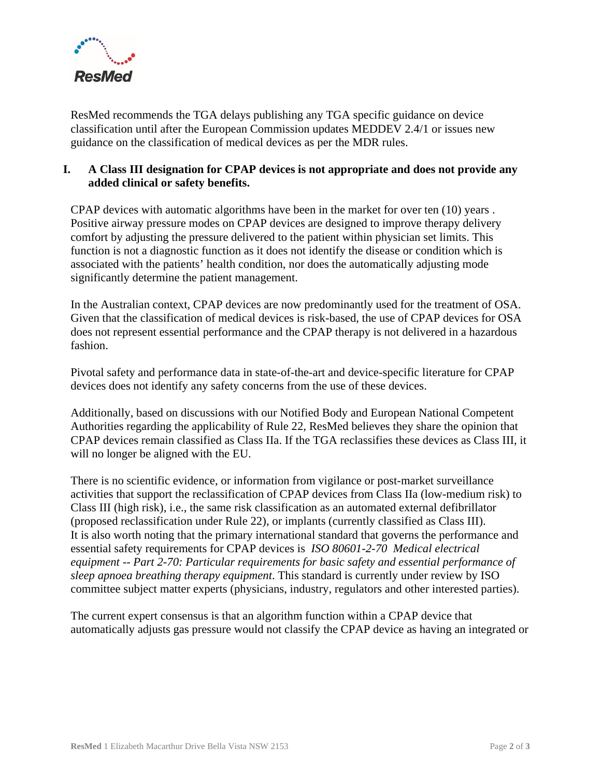

ResMed recommends the TGA delays publishing any TGA specific guidance on device classification until after the European Commission updates MEDDEV 2.4/1 or issues new guidance on the classification of medical devices as per the MDR rules.

## **I. A Class III designation for CPAP devices is not appropriate and does not provide any added clinical or safety benefits.**

CPAP devices with automatic algorithms have been in the market for over ten (10) years . Positive airway pressure modes on CPAP devices are designed to improve therapy delivery comfort by adjusting the pressure delivered to the patient within physician set limits. This function is not a diagnostic function as it does not identify the disease or condition which is associated with the patients' health condition, nor does the automatically adjusting mode significantly determine the patient management.

In the Australian context, CPAP devices are now predominantly used for the treatment of OSA. Given that the classification of medical devices is risk-based, the use of CPAP devices for OSA does not represent essential performance and the CPAP therapy is not delivered in a hazardous fashion.

Pivotal safety and performance data in state-of-the-art and device-specific literature for CPAP devices does not identify any safety concerns from the use of these devices.

Additionally, based on discussions with our Notified Body and European National Competent Authorities regarding the applicability of Rule 22, ResMed believes they share the opinion that CPAP devices remain classified as Class IIa. If the TGA reclassifies these devices as Class III, it will no longer be aligned with the EU.

There is no scientific evidence, or information from vigilance or post-market surveillance activities that support the reclassification of CPAP devices from Class IIa (low-medium risk) to Class III (high risk), i.e., the same risk classification as an automated external defibrillator (proposed reclassification under Rule 22), or implants (currently classified as Class III). It is also worth noting that the primary international standard that governs the performance and essential safety requirements for CPAP devices is *ISO 80601-2-70 Medical electrical equipment -- Part 2-70: Particular requirements for basic safety and essential performance of sleep apnoea breathing therapy equipment*. This standard is currently under review by ISO committee subject matter experts (physicians, industry, regulators and other interested parties).

The current expert consensus is that an algorithm function within a CPAP device that automatically adjusts gas pressure would not classify the CPAP device as having an integrated or